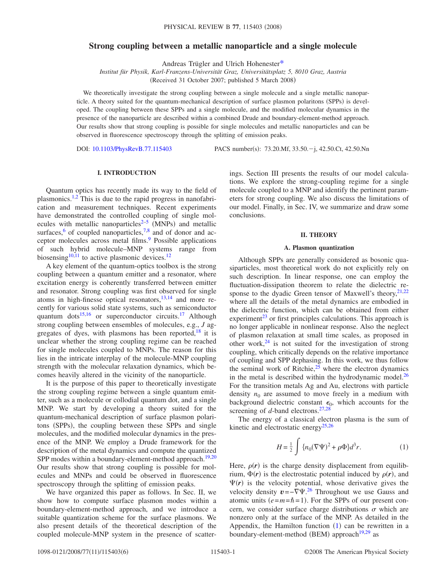# **Strong coupling between a metallic nanoparticle and a single molecule**

Andreas Trügler and Ulrich Hoheneste[r\\*](#page-4-0)

*Institut für Physik, Karl-Franzens-Universität Graz, Universitätsplatz 5, 8010 Graz, Austria* (Received 31 October 2007; published 5 March 2008)

We theoretically investigate the strong coupling between a single molecule and a single metallic nanoparticle. A theory suited for the quantum-mechanical description of surface plasmon polaritons (SPPs) is developed. The coupling between these SPPs and a single molecule, and the modified molecular dynamics in the presence of the nanoparticle are described within a combined Drude and boundary-element-method approach. Our results show that strong coupling is possible for single molecules and metallic nanoparticles and can be observed in fluorescence spectroscopy through the splitting of emission peaks.

DOI: [10.1103/PhysRevB.77.115403](http://dx.doi.org/10.1103/PhysRevB.77.115403)

PACS number(s): 73.20.Mf, 33.50. - j, 42.50.Ct, 42.50.Nn

# **I. INTRODUCTION**

Quantum optics has recently made its way to the field of plasmonics.<sup>1,[2](#page-4-2)</sup> This is due to the rapid progress in nanofabrication and measurement techniques. Recent experiments have demonstrated the controlled coupling of single molecules with metallic nanoparticles<sup> $2-5$  $2-5$ </sup> (MNPs) and metallic surfaces,<sup>6</sup> of coupled nanoparticles,<sup>7,[8](#page-4-6)</sup> and of donor and acceptor molecules across metal films.<sup>9</sup> Possible applications of such hybrid molecule–MNP systems range from biosensing<sup>10[,11](#page-4-9)</sup> to active plasmonic devices.<sup>12</sup>

A key element of the quantum-optics toolbox is the strong coupling between a quantum emitter and a resonator, where excitation energy is coherently transferred between emitter and resonator. Strong coupling was first observed for single atoms in high-finesse optical resonators, $13,14$  $13,14$  and more recently for various solid state systems, such as semiconductor quantum dots<sup>15,[16](#page-4-14)</sup> or superconductor circuits.<sup>17</sup> Although strong coupling between ensembles of molecules, e.g., *J* aggregates of dyes, with plasmons has been reported, $^{18}$  it is unclear whether the strong coupling regime can be reached for single molecules coupled to MNPs. The reason for this lies in the intricate interplay of the molecule-MNP coupling strength with the molecular relaxation dynamics, which becomes heavily altered in the vicinity of the nanoparticle.

It is the purpose of this paper to theoretically investigate the strong coupling regime between a single quantum emitter, such as a molecule or collodial quantum dot, and a single MNP. We start by developing a theory suited for the quantum-mechanical description of surface plasmon polaritons (SPPs), the coupling between these SPPs and single molecules, and the modified molecular dynamics in the presence of the MNP. We employ a Drude framework for the description of the metal dynamics and compute the quantized SPP modes within a boundary-element-method approach.<sup>19,[20](#page-4-18)</sup> Our results show that strong coupling is possible for molecules and MNPs and could be observed in fluorescence spectroscopy through the splitting of emission peaks.

We have organized this paper as follows. In Sec. II, we show how to compute surface plasmon modes within a boundary-element-method approach, and we introduce a suitable quantization scheme for the surface plasmons. We also present details of the theoretical description of the coupled molecule-MNP system in the presence of scatterings. Section III presents the results of our model calculations. We explore the strong-coupling regime for a single molecule coupled to a MNP and identify the pertinent parameters for strong coupling. We also discuss the limitations of our model. Finally, in Sec. IV, we summarize and draw some conclusions.

### **II. THEORY**

### **A. Plasmon quantization**

Although SPPs are generally considered as bosonic quasiparticles, most theoretical work do not explicitly rely on such description. In linear response, one can employ the fluctuation-dissipation theorem to relate the dielectric response to the dyadic Green tensor of Maxwell's theory,  $21,22$  $21,22$ where all the details of the metal dynamics are embodied in the dielectric function, which can be obtained from either experiment<sup>23</sup> or first principles calculations. This approach is no longer applicable in nonlinear response. Also the neglect of plasmon relaxation at small time scales, as proposed in other work, $24$  is not suited for the investigation of strong coupling, which critically depends on the relative importance of coupling and SPP dephasing. In this work, we thus follow the seminal work of Ritchie, $2<sup>5</sup>$  where the electron dynamics in the metal is described within the hydrodynamic model. $^{26}$ For the transition metals Ag and Au, electrons with particle density  $n_0$  are assumed to move freely in a medium with background dielectric constant  $\epsilon_0$ , which accounts for the screening of *d*-band electrons.<sup>27[,28](#page-5-6)</sup>

<span id="page-0-0"></span>The energy of a classical electron plasma is the sum of kinetic and electrostatic energy<sup>25[,26](#page-5-4)</sup>

$$
H = \frac{1}{2} \int \{ n_0 (\nabla \Psi)^2 + \rho \Phi \} d^3 r.
$$
 (1)

Here,  $\rho(r)$  is the charge density displacement from equilibrium,  $\Phi(r)$  is the electrostatic potential induced by  $\rho(r)$ , and  $\Psi(r)$  is the velocity potential, whose derivative gives the velocity density  $v = -\nabla \Psi$ .<sup>[26](#page-5-4)</sup> Throughout we use Gauss and atomic units  $(e=m=\hbar=1)$ . For the SPPs of our present concern, we consider surface charge distributions  $\sigma$  which are nonzero only at the surface of the MNP. As detailed in the Appendix, the Hamilton function  $(1)$  $(1)$  $(1)$  can be rewritten in a boundary-element-method (BEM) approach<sup>19,[29](#page-5-7)</sup> as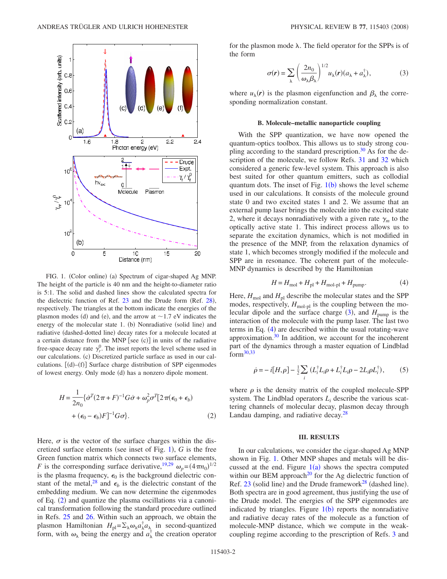<span id="page-1-0"></span>

FIG. 1. (Color online) (a) Spectrum of cigar-shaped Ag MNP. The height of the particle is 40 nm and the height-to-diameter ratio is 5:1. The solid and dashed lines show the calculated spectra for the dielectric function of Ref.  $23$  and the Drude form (Ref.  $28$ ), respectively. The triangles at the bottom indicate the energies of the plasmon modes (d) and (e), and the arrow at  $\sim$  1.7 eV indicates the energy of the molecular state 1. (b) Nonradiative (solid line) and radiative (dashed-dotted line) decay rates for a molecule located at a certain distance from the MNP [see  $(c)$ ] in units of the radiative free-space decay rate  $\gamma_r^0$ . The inset reports the level scheme used in our calculations. (c) Discretized particle surface as used in our calculations.  $[(d)–(f)]$  Surface charge distribution of SPP eigenmodes of lowest energy. Only mode (d) has a nonzero dipole moment.

<span id="page-1-1"></span>
$$
H = \frac{1}{2n_0} \{ \dot{\sigma}^T (2\pi + F)^{-1} G \dot{\sigma} + \omega_p^2 \sigma^T [2\pi (\epsilon_0 + \epsilon_b) + (\epsilon_0 - \epsilon_b) F]^{-1} G \sigma \}.
$$
\n(2)

Here,  $\sigma$  is the vector of the surface charges within the dis-cretized surface elements (see inset of Fig. [1](#page-1-0)),  $G$  is the free Green function matrix which connects two surface elements, *F* is the corresponding surface derivative,<sup>19,[29](#page-5-7)</sup>  $\omega_p = (4 \pi n_0)^{1/2}$ is the plasma frequency,  $\epsilon_0$  is the background dielectric constant of the metal,<sup>28</sup> and  $\epsilon_b$  is the dielectric constant of the embedding medium. We can now determine the eigenmodes of Eq. ([2](#page-1-1)) and quantize the plasma oscillations via a canonical transformation following the standard procedure outlined in Refs. [25](#page-5-3) and [26.](#page-5-4) Within such an approach, we obtain the plasmon Hamiltonian  $H_{\text{pl}} = \sum_{\lambda} \omega_{\lambda} a_{\lambda}^{\dagger} a_{\lambda}$  in second-quantized form, with  $\omega_{\lambda}$  being the energy and  $a_{\lambda}^{\dagger}$  the creation operator

<span id="page-1-2"></span>for the plasmon mode  $\lambda$ . The field operator for the SPPs is of the form

$$
\sigma(\mathbf{r}) = \sum_{\lambda} \left( \frac{2n_0}{\omega_{\lambda} \beta_{\lambda}} \right)^{1/2} u_{\lambda}(\mathbf{r}) (a_{\lambda} + a_{\lambda}^{\dagger}), \tag{3}
$$

where  $u_{\lambda}(r)$  is the plasmon eigenfunction and  $\beta_{\lambda}$  the corresponding normalization constant.

#### **B. Molecule–metallic nanoparticle coupling**

With the SPP quantization, we have now opened the quantum-optics toolbox. This allows us to study strong coupling according to the standard prescription. $30$  As for the de-scription of the molecule, we follow Refs. [31](#page-5-9) and [32](#page-5-10) which considered a generic few-level system. This approach is also best suited for other quantum emitters, such as collodial quantum dots. The inset of Fig.  $1(b)$  $1(b)$  shows the level scheme used in our calculations. It consists of the molecule ground state 0 and two excited states 1 and 2. We assume that an external pump laser brings the molecule into the excited state 2, where it decays nonradiatively with a given rate  $\gamma_m$  to the optically active state 1. This indirect process allows us to separate the excitation dynamics, which is not modified in the presence of the MNP, from the relaxation dynamics of state 1, which becomes strongly modified if the molecule and SPP are in resonance. The coherent part of the molecule-MNP dynamics is described by the Hamiltonian

$$
H = H_{\text{mol}} + H_{\text{pl}} + H_{\text{mol-pl}} + H_{\text{pump}}.\tag{4}
$$

<span id="page-1-3"></span>Here,  $H_{\text{mol}}$  and  $H_{\text{pl}}$  describe the molecular states and the SPP modes, respectively,  $H_{\text{mol-pl}}$  is the coupling between the molecular dipole and the surface charge  $(3)$  $(3)$  $(3)$ , and  $H_{\text{pump}}$  is the interaction of the molecule with the pump laser. The last two terms in Eq. ([4](#page-1-3)) are described within the usual rotating-wave approximation. $30 \text{ In addition, we account for the incoherent}$ part of the dynamics through a master equation of Lindblad for[m30,](#page-5-8)[33](#page-5-11)

$$
\dot{\rho} = -i[H,\rho] - \frac{1}{2} \sum_{i} (L_i^{\dagger} L_i \rho + L_i^{\dagger} L_i \rho - 2L_i \rho L_i^{\dagger}), \qquad (5)
$$

<span id="page-1-4"></span>where  $\rho$  is the density matrix of the coupled molecule-SPP system. The Lindblad operators  $L_i$  describe the various scattering channels of molecular decay, plasmon decay through Landau damping, and radiative decay. $28$ 

### **III. RESULTS**

In our calculations, we consider the cigar-shaped Ag MNP shown in Fig. [1.](#page-1-0) Other MNP shapes and metals will be discussed at the end. Figure  $1(a)$  $1(a)$  shows the spectra computed within our BEM approach<sup>20</sup> for the Ag dielectric function of Ref.  $23$  (solid line) and the Drude framework<sup>28</sup> (dashed line). Both spectra are in good agreement, thus justifying the use of the Drude model. The energies of the SPP eigenmodes are indicated by triangles. Figure  $1(b)$  $1(b)$  reports the nonradiative and radiative decay rates of the molecule as a function of molecule-MNP distance, which we compute in the weakcoupling regime according to the prescription of Refs. [3](#page-4-20) and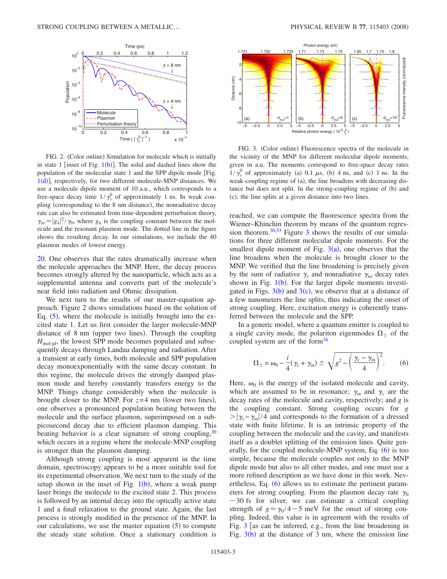<span id="page-2-0"></span>

FIG. 2. (Color online) Simulation for molecule which is initially in state [1](#page-1-0) [inset of Fig.  $1(b)$ ]. The solid and dashed lines show the population of the molecular state 1 and the SPP dipole mode [Fig. [1](#page-1-0)(d)], respectively, for two different molecule-MNP distances. We use a molecule dipole moment of 10 a.u., which corresponds to a free-space decay time  $1/\gamma_r^0$  of approximately 1 ns. In weak coupling (corresponding to the 8 nm distance), the nonradiative decay rate can also be estimated from time-dependent perturbation theory,  $\gamma_{nr} \approx |g_{\lambda}|^2 / \gamma_0$ , where  $g_{\lambda}$  is the coupling constant between the molecule and the resonant plasmon mode. The dotted line in the figure shows the resulting decay. In our simulations, we include the 40 plasmon modes of lowest energy.

[20.](#page-4-18) One observes that the rates dramatically increase when the molecule approaches the MNP. Here, the decay process becomes strongly altered by the nanoparticle, which acts as a supplemental antenna and converts part of the molecule's near field into radiation and Ohmic dissipation.

We next turn to the results of our master-equation approach. Figure [2](#page-2-0) shows simulations based on the solution of Eq.  $(5)$  $(5)$  $(5)$ , where the molecule is initially brought into the excited state 1. Let us first consider the larger molecule-MNP distance of 8 nm (upper two lines). Through the coupling  $H_{\text{mol-pl}}$ , the lowest SPP mode becomes populated and subsequently decays through Landau damping and radiation. After a transient at early times, both molecule and SPP population decay monoexponentially with the same decay constant. In this regime, the molecule drives the strongly damped plasmon mode and hereby constantly transfers energy to the MNP. Things change considerably when the molecule is brought closer to the MNP. For  $z=4$  nm (lower two lines), one observes a pronounced population beating between the molecule and the surface plasmon, superimposed on a subpicosecond decay due to efficient plasmon damping. This beating behavior is a clear signature of strong coupling,  $30$ which occurs in a regime where the molecule-MNP coupling is stronger than the plasmon damping.

Although strong coupling is most apparent in the time domain, spectroscopy appears to be a more suitable tool for its experimental observation. We next turn to the study of the setup shown in the inset of Fig.  $1(b)$  $1(b)$ , where a weak pump laser brings the molecule to the excited state 2. This process is followed by an internal decay into the optically active state 1 and a final relaxation to the ground state. Again, the last process is strongly modified in the presence of the MNP. In our calculations, we use the master equation  $(5)$  $(5)$  $(5)$  to compute the steady state solution. Once a stationary condition is

<span id="page-2-1"></span>

FIG. 3. (Color online) Fluorescence spectra of the molecule in the vicinity of the MNP for different molecular dipole moments, given in a.u. The moments correspond to free-space decay rates  $1/\gamma_r^0$  of approximately (a) 0.1  $\mu$ s, (b) 4 ns, and (c) 1 ns. In the weak-coupling regime of (a), the line broadens with decreasing distance but does not split. In the strong-coupling regime of (b) and (c), the line splits at a given distance into two lines.

reached, we can compute the fluorescence spectra from the Wiener–Khinchin theorem by means of the quantum regres-sion theorem.<sup>30,[33](#page-5-11)</sup> Figure [3](#page-2-1) shows the results of our simulations for three different molecular dipole moments. For the smallest dipole moment of Fig.  $3(a)$  $3(a)$ , one observes that the line broadens when the molecule is brought closer to the MNP. We verified that the line broadening is precisely given by the sum of radiative  $\gamma_r$  and nonradiative  $\gamma_{nr}$  decay rates shown in Fig.  $1(b)$  $1(b)$ . For the larger dipole moments investigated in Figs.  $3(b)$  $3(b)$  and  $3(c)$ , we observe that at a distance of a few nanometers the line splits, thus indicating the onset of strong coupling. Here, excitation energy is coherently transferred between the molecule and the SPP.

In a generic model, where a quantum emitter is coupled to a single cavity mode, the polariton eigenmodes  $\Omega_{\pm}$  of the coupled system are of the form<sup>34</sup>

<span id="page-2-2"></span>
$$
\Omega_{\pm} = \omega_0 - \frac{i}{4} (\gamma_c + \gamma_m) \pm \sqrt{g^2 - \left(\frac{\gamma_c - \gamma_m}{4}\right)^2}.
$$
 (6)

Here,  $\omega_0$  is the energy of the isolated molecule and cavity, which are assumed to be in resonance;  $\gamma_m$  and  $\gamma_c$  are the decay rates of the molecule and cavity, respectively; and *g* is the coupling constant. Strong coupling occurs for *g*  $\frac{p}{\gamma_c - \gamma_m}/4$  and corresponds to the formation of a dressed state with finite lifetime. It is an intrinsic property of the coupling between the molecule and the cavity, and manifests itself as a doublet splitting of the emission lines. Quite gen-erally, for the coupled molecule-MNP system, Eq. ([6](#page-2-2)) is too simple, because the molecule couples not only to the MNP dipole mode but also to all other modes, and one must use a more refined description as we have done in this work. Nevertheless, Eq.  $(6)$  $(6)$  $(6)$  allows us to estimate the pertinent parameters for strong coupling. From the plasmon decay rate  $\gamma_0$  $\sim$  30 fs for silver, we can estimate a critical coupling strength of  $g \approx \gamma_0 / 4 \sim 5$  meV for the onset of strong coupling. Indeed, this value is in agreement with the results of Fig.  $3$  [as can be inferred, e.g., from the line broadening in Fig.  $3(b)$  $3(b)$  at the distance of 3 nm, where the emission line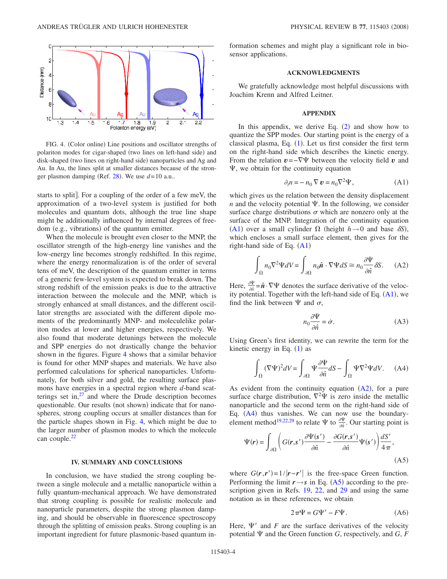<span id="page-3-0"></span>

FIG. 4. (Color online) Line positions and oscillator strengths of polariton modes for cigar-shaped (two lines on left-hand side) and disk-shaped (two lines on right-hand side) nanoparticles and Ag and Au. In Au, the lines split at smaller distances because of the stron-ger plasmon damping (Ref. [28](#page-5-6)). We use  $d=10$  a.u..

starts to split. For a coupling of the order of a few meV, the approximation of a two-level system is justified for both molecules and quantum dots, although the true line shape might be additionally influenced by internal degrees of freedom (e.g., vibrations) of the quantum emitter.

When the molecule is brought even closer to the MNP, the oscillator strength of the high-energy line vanishes and the low-energy line becomes strongly redshifted. In this regime, where the energy renormalization is of the order of several tens of meV, the description of the quantum emitter in terms of a generic few-level system is expected to break down. The strong redshift of the emission peaks is due to the attractive interaction between the molecule and the MNP, which is strongly enhanced at small distances, and the different oscillator strengths are associated with the different dipole moments of the predominantly MNP- and moleculelike polariton modes at lower and higher energies, respectively. We also found that moderate detunings between the molecule and SPP energies do not drastically change the behavior shown in the figures. Figure [4](#page-3-0) shows that a similar behavior is found for other MNP shapes and materials. We have also performed calculations for spherical nanoparticles. Unfortunately, for both silver and gold, the resulting surface plasmons have energies in a spectral region where *d*-band scatterings set in, $27$  and where the Drude description becomes questionable. Our results (not shown) indicate that for nanospheres, strong coupling occurs at smaller distances than for the particle shapes shown in Fig. [4,](#page-3-0) which might be due to the larger number of plasmon modes to which the molecule can couple.<sup>22</sup>

# **IV. SUMMARY AND CONCLUSIONS**

In conclusion, we have studied the strong coupling between a single molecule and a metallic nanoparticle within a fully quantum-mechanical approach. We have demonstrated that strong coupling is possible for realistic molecule and nanoparticle parameters, despite the strong plasmon damping, and should be observable in fluorescence spectroscopy through the splitting of emission peaks. Strong coupling is an important ingredient for future plasmonic-based quantum information schemes and might play a significant role in biosensor applications.

## **ACKNOWLEDGMENTS**

We gratefully acknowledge most helpful discussions with Joachim Krenn and Alfred Leitner.

## **APPENDIX**

In this appendix, we derive Eq.  $(2)$  $(2)$  $(2)$  and show how to quantize the SPP modes. Our starting point is the energy of a classical plasma, Eq.  $(1)$  $(1)$  $(1)$ . Let us first consider the first term on the right-hand side which describes the kinetic energy. From the relation  $v = -\nabla \Psi$  between the velocity field *v* and  $\Psi$ , we obtain for the continuity equation

$$
\partial_t n = -n_0 \nabla \mathbf{v} = n_0 \nabla^2 \Psi,
$$
 (A1)

<span id="page-3-1"></span>which gives us the relation between the density displacement *n* and the velocity potential  $\Psi$ . In the following, we consider surface charge distributions  $\sigma$  which are nonzero only at the surface of the MNP. Integration of the continuity equation ([A1](#page-3-1)) over a small cylinder  $\Omega$  (height  $h \rightarrow 0$  and base  $\delta S$ ), which encloses a small surface element, then gives for the right-hand side of Eq.  $(A1)$  $(A1)$  $(A1)$ 

$$
\int_{\Omega} n_0 \nabla^2 \Psi dV = \int_{\partial \Omega} n_0 \hat{\mathbf{n}} \cdot \nabla \Psi dS \cong n_0 \frac{\partial \Psi}{\partial \hat{\mathbf{n}}} \delta S. \quad (A2)
$$

Here,  $\frac{\partial \Psi}{\partial \hat{n}} = \hat{n} \cdot \nabla \Psi$  denotes the surface derivative of the velocity potential. Together with the left-hand side of Eq.  $(A1)$  $(A1)$  $(A1)$ , we find the link between  $\Psi$  and  $\sigma$ ,

$$
n_0 \frac{\partial \Psi}{\partial \hat{n}} = \dot{\sigma}.
$$
 (A3)

<span id="page-3-5"></span><span id="page-3-2"></span>Using Green's first identity, we can rewrite the term for the kinetic energy in Eq.  $(1)$  $(1)$  $(1)$  as

$$
\int_{\Omega} (\nabla \Psi)^2 dV = \int_{\partial \Omega} \Psi \frac{\partial \Psi}{\partial \hat{n}} dS - \int_{\Omega} \Psi \nabla^2 \Psi dV. \quad (A4)
$$

As evident from the continuity equation  $(A2)$  $(A2)$  $(A2)$ , for a pure surface charge distribution,  $\nabla^2 \Psi$  is zero inside the metallic nanoparticle and the second term on the right-hand side of Eq.  $(A4)$  $(A4)$  $(A4)$  thus vanishes. We can now use the boundary-element method<sup>19[,22](#page-5-0)[,29](#page-5-7)</sup> to relate  $\Psi$  to  $\frac{\partial \Psi}{\partial \hat{n}}$ . Our starting point is

<span id="page-3-3"></span>
$$
\Psi(r) = \int_{\partial\Omega} \left( G(r, s') \frac{\partial \Psi(s')}{\partial \hat{n}} - \frac{\partial G(r, s')}{\partial \hat{n}} \Psi(s') \right) \frac{dS'}{4\pi},\tag{A5}
$$

where  $G(\mathbf{r}, \mathbf{r}') = 1/|\mathbf{r} - \mathbf{r}'|$  is the free-space Green function. Performing the limit  $r \rightarrow s$  in Eq. ([A5](#page-3-3)) according to the pre-scription given in Refs. [19,](#page-4-17) [22,](#page-5-0) and [29](#page-5-7) and using the same notation as in these references, we obtain

$$
2\pi\Psi = G\Psi' - F\Psi.
$$
 (A6)

<span id="page-3-4"></span>Here,  $\Psi'$  and *F* are the surface derivatives of the velocity potential  $\Psi$  and the Green function *G*, respectively, and *G*, *F*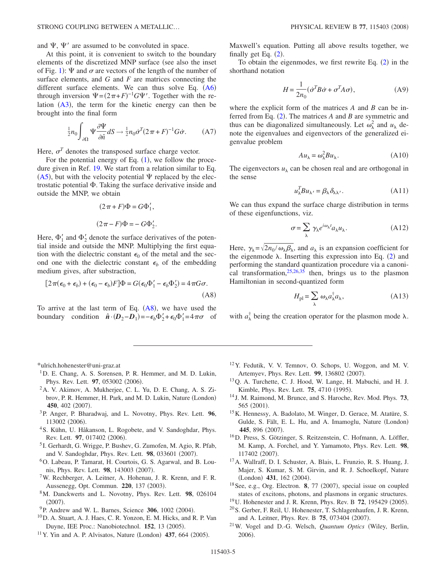and  $\Psi$ ,  $\Psi'$  are assumed to be convoluted in space.

At this point, it is convenient to switch to the boundary elements of the discretized MNP surface (see also the inset of Fig. [1](#page-1-0)):  $\Psi$  and  $\sigma$  are vectors of the length of the number of surface elements, and *G* and *F* are matrices connecting the different surface elements. We can thus solve Eq.  $(A6)$  $(A6)$  $(A6)$ through inversion  $\Psi = (2\pi + F)^{-1}G\Psi'$ . Together with the relation  $(A3)$  $(A3)$  $(A3)$ , the term for the kinetic energy can then be brought into the final form

$$
\frac{1}{2}n_0 \int_{\partial \Omega} \Psi \frac{\partial \Psi}{\partial \hat{n}} dS \to \frac{1}{2}n_0 \dot{\sigma}^T (2\pi + F)^{-1} G \dot{\sigma}.
$$
 (A7)

Here,  $\sigma^T$  denotes the transposed surface charge vector.

For the potential energy of Eq.  $(1)$  $(1)$  $(1)$ , we follow the procedure given in Ref. [19.](#page-4-17) We start from a relation similar to Eq. ([A5](#page-3-3)), but with the velocity potential  $\Psi$  replaced by the electrostatic potential  $\Phi$ . Taking the surface derivative inside and outside the MNP, we obtain

$$
(2\pi + F)\Phi = G\Phi_1',
$$
  

$$
(2\pi - F)\Phi = -G\Phi_2'.
$$

Here,  $\Phi'_1$  and  $\Phi'_2$  denote the surface derivatives of the potential inside and outside the MNP. Multiplying the first equation with the dielectric constant  $\epsilon_0$  of the metal and the second one with the dielectric constant  $\epsilon_b$  of the embedding medium gives, after substraction,

<span id="page-4-21"></span>
$$
[2\pi(\epsilon_0 + \epsilon_b) + (\epsilon_0 - \epsilon_b)F]\Phi = G(\epsilon_0 \Phi'_1 - \epsilon_b \Phi'_2) = 4\pi G\sigma.
$$
\n(A8)

To arrive at the last term of Eq.  $(AB)$ , we have used the boundary condition  $\hat{\boldsymbol{n}} \cdot (\boldsymbol{D}_2 - \boldsymbol{D}_1) = -\epsilon_b \Phi'_2 + \epsilon_0 \Phi'_1 = 4 \pi \sigma$  of Maxwell's equation. Putting all above results together, we finally get Eq.  $(2)$  $(2)$  $(2)$ .

To obtain the eigenmodes, we first rewrite Eq.  $(2)$  $(2)$  $(2)$  in the shorthand notation

$$
H = \frac{1}{2n_0} (\dot{\sigma}^T B \dot{\sigma} + \sigma^T A \sigma), \tag{A9}
$$

where the explicit form of the matrices *A* and *B* can be inferred from Eq.  $(2)$  $(2)$  $(2)$ . The matrices *A* and *B* are symmetric and thus can be diagonalized simultaneously. Let  $\omega_{\lambda}^2$  and  $u_{\lambda}$  de note the eigenvalues and eigenvectors of the generalized eigenvalue problem

$$
Au_{\lambda} = \omega_{\lambda}^2 B u_{\lambda}.
$$
 (A10)

The eigenvectors  $u_{\lambda}$  can be chosen real and are orthogonal in the sense

$$
u_{\lambda}^T B u_{\lambda'} = \beta_{\lambda} \delta_{\lambda \lambda'}.
$$
 (A11)

We can thus expand the surface charge distribution in terms of these eigenfunctions, viz.

$$
\sigma = \sum_{\lambda} \gamma_{\lambda} e^{i\omega_{\lambda}t} a_{\lambda} u_{\lambda}.
$$
 (A12)

Here,  $\gamma_{\lambda} = \sqrt{2n_0/\omega_{\lambda}\beta_{\lambda}}$ , and  $a_{\lambda}$  is an expansion coefficient for the eigenmode  $\lambda$ . Inserting this expression into Eq. ([2](#page-1-1)) and performing the standard quantization procedure via a canonical transformation,  $25,26,35$  $25,26,35$  $25,26,35$  then, brings us to the plasmon Hamiltonian in second-quantized form

$$
H_{\rm pl} = \sum_{\lambda} \omega_{\lambda} a_{\lambda}^{\dagger} a_{\lambda},\tag{A13}
$$

with  $a_{\lambda}^{\dagger}$  being the creation operator for the plasmon mode  $\lambda$ .

<span id="page-4-0"></span>\*ulrich.hohenester@uni-graz.at

- <span id="page-4-1"></span><sup>1</sup>D. E. Chang, A. S. Sorensen, P. R. Hemmer, and M. D. Lukin, Phys. Rev. Lett. 97, 053002 (2006).
- <span id="page-4-2"></span>2A. V. Akimov, A. Mukherjee, C. L. Yu, D. E. Chang, A. S. Zibrov, P. R. Hemmer, H. Park, and M. D. Lukin, Nature (London) 450, 402 (2007).
- <span id="page-4-20"></span>3P. Anger, P. Bharadwaj, and L. Novotny, Phys. Rev. Lett. **96**, 113002 (2006).
- <sup>4</sup> S. Kühn, U. Håkanson, L. Rogobete, and V. Sandoghdar, Phys. Rev. Lett. 97, 017402 (2006).
- <span id="page-4-3"></span><sup>5</sup> I. Gerhardt, G. Wrigge, P. Bushev, G. Zumofen, M. Agio, R. Pfab, and V. Sandoghdar, Phys. Rev. Lett. 98, 033601 (2007).
- <span id="page-4-4"></span>6O. Labeau, P. Tamarat, H. Courtois, G. S. Agarwal, and B. Lounis, Phys. Rev. Lett. 98, 143003 (2007).
- <span id="page-4-5"></span>7W. Rechberger, A. Leitner, A. Hohenau, J. R. Krenn, and F. R. Aussenegg, Opt. Commun. 220, 137 (2003).
- <span id="page-4-6"></span>8M. Danckwerts and L. Novotny, Phys. Rev. Lett. **98**, 026104  $(2007).$
- <span id="page-4-7"></span><sup>9</sup>P. Andrew and W. L. Barnes, Science 306, 1002 (2004).
- <span id="page-4-8"></span>10D. A. Stuart, A. J. Haes, C. R. Yonzon, E. M. Hicks, and R. P. Van Duyne, IEE Proc.: Nanobiotechnol. **152**, 13 (2005).
- <span id="page-4-9"></span> $11$  Y. Yin and A. P. Alvisatos, Nature (London) 437, 664 (2005).
- <span id="page-4-10"></span>12Y. Fedutik, V. V. Temnov, O. Schops, U. Woggon, and M. V. Artemyev, Phys. Rev. Lett. 99, 136802 (2007).
- <span id="page-4-11"></span>13Q. A. Turchette, C. J. Hood, W. Lange, H. Mabuchi, and H. J. Kimble, Phys. Rev. Lett. **75**, 4710 (1995).
- <span id="page-4-12"></span><sup>14</sup> J. M. Raimond, M. Brunce, and S. Haroche, Rev. Mod. Phys. **73**, 565 (2001).
- <span id="page-4-13"></span>15K. Hennessy, A. Badolato, M. Winger, D. Gerace, M. Atatüre, S. Gulde, S. Fält, E. L. Hu, and A. Imamoglu, Nature (London) 445, 896 (2007).
- <span id="page-4-14"></span>16D. Press, S. Götzinger, S. Reitzenstein, C. Hofmann, A. Löffler, M. Kamp, A. Forchel, and Y. Yamamoto, Phys. Rev. Lett. **98**, 117402 (2007).
- <span id="page-4-15"></span>17A. Wallraff, D. I. Schuster, A. Blais, L. Frunzio, R. S. Huang, J. Majer, S. Kumar, S. M. Girvin, and R. J. Schoelkopf, Nature (London) 431, 162 (2004).
- <span id="page-4-16"></span><sup>18</sup> See, e.g., Org. Electron. **8**, 77 (2007), special issue on coupled states of excitons, photons, and plasmons in organic structures.
- <span id="page-4-17"></span><sup>19</sup> U. Hohenester and J. R. Krenn, Phys. Rev. B **72**, 195429 (2005).
- <span id="page-4-18"></span>20S. Gerber, F. Reil, U. Hohenester, T. Schlagenhaufen, J. R. Krenn, and A. Leitner, Phys. Rev. B 75, 073404 (2007).
- <span id="page-4-19"></span>21W. Vogel and D.-G. Welsch, *Quantum Optics* Wiley, Berlin, 2006).